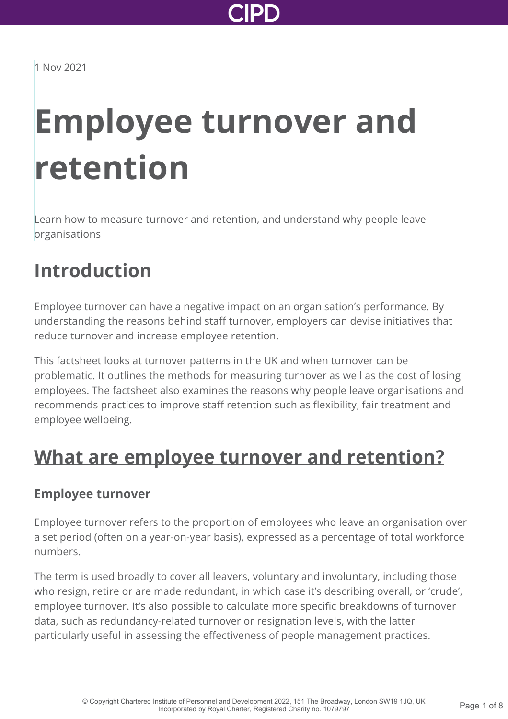

# **Employee turnover and retention**

Learn how to measure turnover and retention, and understand why people leave organisations

### **Introduction**

Employee turnover can have a negative impact on an organisation's performance. By understanding the reasons behind staff turnover, employers can devise initiatives that reduce turnover and increase employee retention.

This factsheet looks at turnover patterns in the UK and when turnover can be problematic. It outlines the methods for measuring turnover as well as the cost of losing employees. The factsheet also examines the reasons why people leave organisations and recommends practices to improve staff retention such as flexibility, fair treatment and employee wellbeing.

### **[What are employee turnover and retention?](http://www.cipd.co.uk/knowledge/strategy/resourcing/turnover-retention-factsheet?pdf=true#)**

#### **Employee turnover**

Employee turnover refers to the proportion of employees who leave an organisation over a set period (often on a year-on-year basis), expressed as a percentage of total workforce numbers.

The term is used broadly to cover all leavers, voluntary and involuntary, including those who resign, retire or are made redundant, in which case it's describing overall, or 'crude', employee turnover. It's also possible to calculate more specific breakdowns of turnover data, such as redundancy-related turnover or resignation levels, with the latter particularly useful in assessing the effectiveness of people management practices.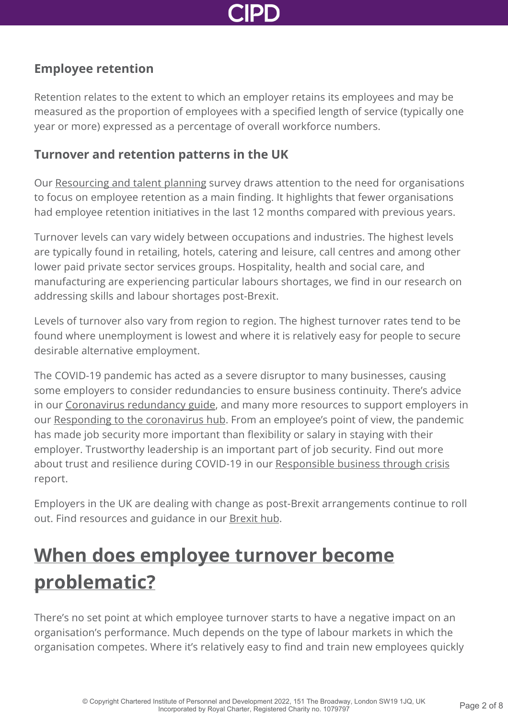

#### **Employee retention**

Retention relates to the extent to which an employer retains its employees and may be measured as the proportion of employees with a specified length of service (typically one year or more) expressed as a percentage of overall workforce numbers.

#### **Turnover and retention patterns in the UK**

Our [Resourcing and talent planning](http://www.cipd.co.uk/knowledge/strategy/resourcing/surveys/) survey draws attention to the need for organisations to focus on employee retention as a main finding. It highlights that fewer organisations had employee retention initiatives in the last 12 months compared with previous years.

Turnover levels can vary widely between occupations and industries. The highest levels are typically found in retailing, hotels, catering and leisure, call centres and among other lower paid private sector services groups. Hospitality, health and social care, and manufacturing are experiencing particular labours shortages, we find in our research on addressing skills and labour shortages post-Brexit.

Levels of turnover also vary from region to region. The highest turnover rates tend to be found where unemployment is lowest and where it is relatively easy for people to secure desirable alternative employment.

The COVID-19 pandemic has acted as a severe disruptor to many businesses, causing some employers to consider redundancies to ensure business continuity. There's advice in our [Coronavirus redundancy guide](http://www.cipd.co.uk/knowledge/fundamentals/emp-law/redundancy/coronavirus-guide/), and many more resources to support employers in our [Responding to the coronavirus hub](http://www.cipd.co.uk/knowledge/coronavirus/). From an employee's point of view, the pandemic has made job security more important than flexibility or salary in staying with their employer. Trustworthy leadership is an important part of job security. Find out more about trust and resilience during COVID-19 in our [Responsible business through crisis](http://www.cipd.co.uk/knowledge/strategy/corporate-responsibility/responsible-business-through-crisis/) report.

Employers in the UK are dealing with change as post-Brexit arrangements continue to roll out. Find resources and guidance in our [Brexit hub](http://www.cipd.co.uk/knowledge/brexit-hub/).

## **[When does employee turnover become](http://www.cipd.co.uk/knowledge/strategy/resourcing/turnover-retention-factsheet?pdf=true#) problematic?**

There's no set point at which employee turnover starts to have a negative impact on an organisation's performance. Much depends on the type of labour markets in which the organisation competes. Where it's relatively easy to find and train new employees quickly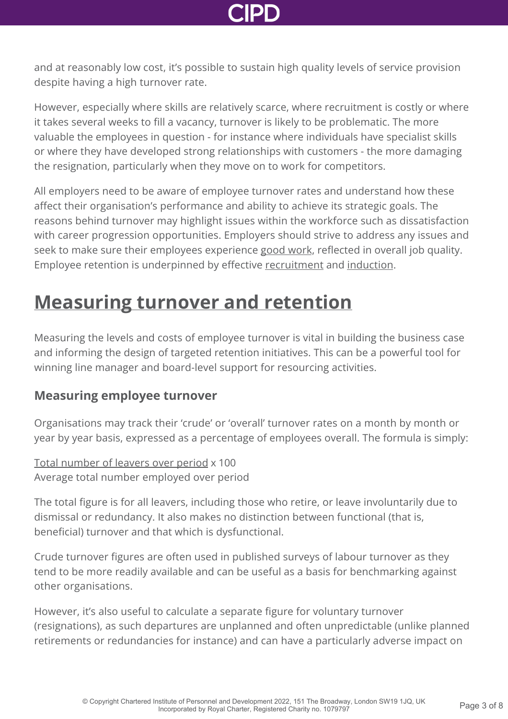and at reasonably low cost, it's possible to sustain high quality levels of service provision despite having a high turnover rate.

However, especially where skills are relatively scarce, where recruitment is costly or where it takes several weeks to fill a vacancy, turnover is likely to be problematic. The more valuable the employees in question - for instance where individuals have specialist skills or where they have developed strong relationships with customers - the more damaging the resignation, particularly when they move on to work for competitors.

All employers need to be aware of employee turnover rates and understand how these affect their organisation's performance and ability to achieve its strategic goals. The reasons behind turnover may highlight issues within the workforce such as dissatisfaction with career progression opportunities. Employers should strive to address any issues and seek to make sure their employees experience [good work,](http://www.cipd.co.uk/knowledge/work/trends/goodwork/) reflected in overall job quality. Employee retention is underpinned by effective [recruitment](http://www.cipd.co.uk/knowledge/fundamentals/people/recruitment/factsheet/) and [induction.](http://www.cipd.co.uk/knowledge/fundamentals/people/recruitment/induction-factsheet/)

### **[Measuring turnover and retention](http://www.cipd.co.uk/knowledge/strategy/resourcing/turnover-retention-factsheet?pdf=true#)**

Measuring the levels and costs of employee turnover is vital in building the business case and informing the design of targeted retention initiatives. This can be a powerful tool for winning line manager and board-level support for resourcing activities.

### **Measuring employee turnover**

Organisations may track their 'crude' or 'overall' turnover rates on a month by month or year by year basis, expressed as a percentage of employees overall. The formula is simply:

Total number of leavers over period x 100 Average total number employed over period

The total figure is for all leavers, including those who retire, or leave involuntarily due to dismissal or redundancy. It also makes no distinction between functional (that is, beneficial) turnover and that which is dysfunctional.

Crude turnover figures are often used in published surveys of labour turnover as they tend to be more readily available and can be useful as a basis for benchmarking against other organisations.

However, it's also useful to calculate a separate figure for voluntary turnover (resignations), as such departures are unplanned and often unpredictable (unlike planned retirements or redundancies for instance) and can have a particularly adverse impact on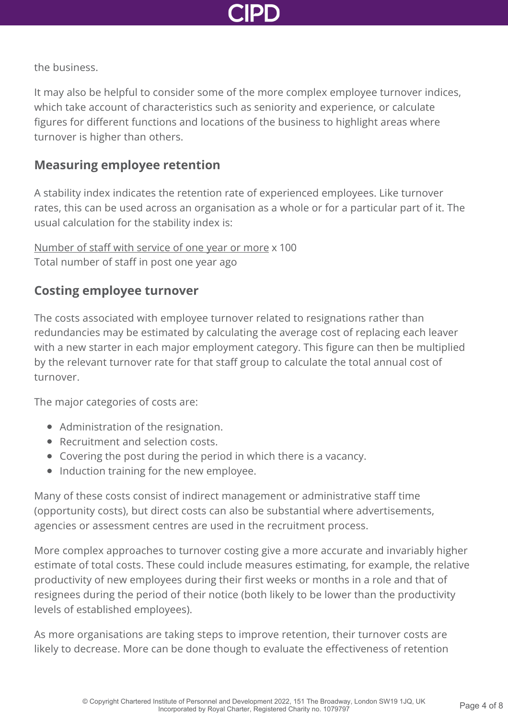

the business.

It may also be helpful to consider some of the more complex employee turnover indices, which take account of characteristics such as seniority and experience, or calculate figures for different functions and locations of the business to highlight areas where turnover is higher than others.

#### **Measuring employee retention**

A stability index indicates the retention rate of experienced employees. Like turnover rates, this can be used across an organisation as a whole or for a particular part of it. The usual calculation for the stability index is:

Number of staff with service of one year or more x 100 Total number of staff in post one year ago

#### **Costing employee turnover**

The costs associated with employee turnover related to resignations rather than redundancies may be estimated by calculating the average cost of replacing each leaver with a new starter in each major employment category. This figure can then be multiplied by the relevant turnover rate for that staff group to calculate the total annual cost of turnover.

The major categories of costs are:

- Administration of the resignation.
- Recruitment and selection costs.
- Covering the post during the period in which there is a vacancy.
- Induction training for the new employee.

Many of these costs consist of indirect management or administrative staff time (opportunity costs), but direct costs can also be substantial where advertisements, agencies or assessment centres are used in the recruitment process.

More complex approaches to turnover costing give a more accurate and invariably higher estimate of total costs. These could include measures estimating, for example, the relative productivity of new employees during their first weeks or months in a role and that of resignees during the period of their notice (both likely to be lower than the productivity levels of established employees).

As more organisations are taking steps to improve retention, their turnover costs are likely to decrease. More can be done though to evaluate the effectiveness of retention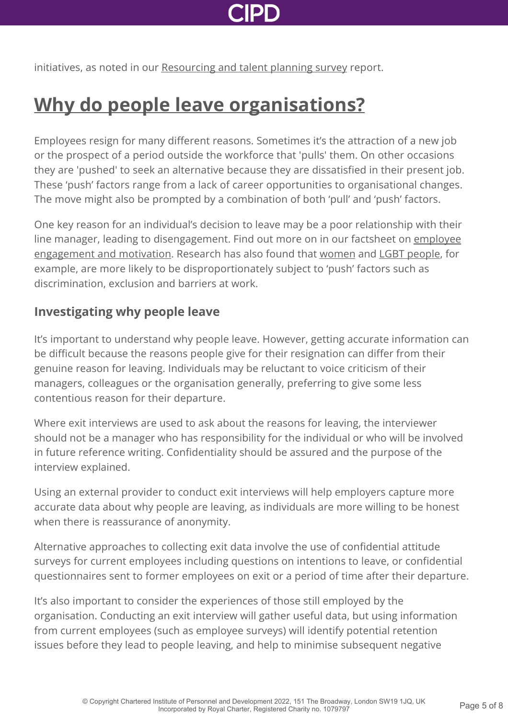initiatives, as noted in our [Resourcing and talent planning survey](http://www.cipd.co.uk/knowledge/strategy/resourcing/surveys/) report.

## **[Why do people leave organisations?](http://www.cipd.co.uk/knowledge/strategy/resourcing/turnover-retention-factsheet?pdf=true#)**

Employees resign for many different reasons. Sometimes it's the attraction of a new job or the prospect of a period outside the workforce that 'pulls' them. On other occasions they are 'pushed' to seek an alternative because they are dissatisfied in their present job. These 'push' factors range from a lack of career opportunities to organisational changes. The move might also be prompted by a combination of both 'pull' and 'push' factors.

One key reason for an individual's decision to leave may be a poor relationship with their [line manager, leading to disengagement. Find out more on in our factsheet on employee](http://www.cipd.co.uk/knowledge/fundamentals/relations/engagement/factsheet/) engagement and motivation. Research has also found that [women](https://www.pwc.co.uk/economic-services/WIWI/women-in-work-2021-executive-summary.pdf) and [LGBT people,](https://www.stonewall.org.uk/cy/node/69021) for example, are more likely to be disproportionately subject to 'push' factors such as discrimination, exclusion and barriers at work.

#### **Investigating why people leave**

It's important to understand why people leave. However, getting accurate information can be difficult because the reasons people give for their resignation can differ from their genuine reason for leaving. Individuals may be reluctant to voice criticism of their managers, colleagues or the organisation generally, preferring to give some less contentious reason for their departure.

Where exit interviews are used to ask about the reasons for leaving, the interviewer should not be a manager who has responsibility for the individual or who will be involved in future reference writing. Confidentiality should be assured and the purpose of the interview explained.

Using an external provider to conduct exit interviews will help employers capture more accurate data about why people are leaving, as individuals are more willing to be honest when there is reassurance of anonymity.

Alternative approaches to collecting exit data involve the use of confidential attitude surveys for current employees including questions on intentions to leave, or confidential questionnaires sent to former employees on exit or a period of time after their departure.

It's also important to consider the experiences of those still employed by the organisation. Conducting an exit interview will gather useful data, but using information from current employees (such as employee surveys) will identify potential retention issues before they lead to people leaving, and help to minimise subsequent negative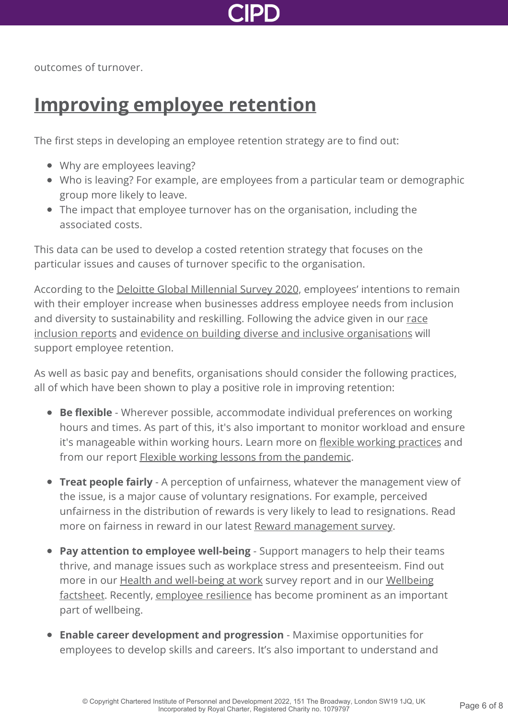

outcomes of turnover.

### **[Improving employee retention](http://www.cipd.co.uk/knowledge/strategy/resourcing/turnover-retention-factsheet?pdf=true#)**

The first steps in developing an employee retention strategy are to find out:

- Why are employees leaving?
- Who is leaving? For example, are employees from a particular team or demographic group more likely to leave.
- The impact that employee turnover has on the organisation, including the associated costs.

This data can be used to develop a costed retention strategy that focuses on the particular issues and causes of turnover specific to the organisation.

According to the [Deloitte Global Millennial Survey 2020,](https://www2.deloitte.com/global/en/pages/about-deloitte/articles/millennialsurvey.html) employees' intentions to remain with their employer increase when businesses address employee needs from inclusion [and diversity to sustainability and reskilling. Following the advice given in our race](http://www.cipd.co.uk/knowledge/fundamentals/relations/diversity/race-inclusion-reports/) inclusion reports and [evidence on building diverse and inclusive organisations](http://www.cipd.co.uk/news-views/nutshell/issue-105/reducing-workplace-prejudice/) will support employee retention.

As well as basic pay and benefits, organisations should consider the following practices, all of which have been shown to play a positive role in improving retention:

- **Be flexible** Wherever possible, accommodate individual preferences on working hours and times. As part of this, it's also important to monitor workload and ensure it's manageable within working hours. Learn more on [flexible working practices](http://www.cipd.co.uk/knowledge/fundamentals/relations/flexible-working/factsheet/) and from our report [Flexible working lessons from the pandemic](http://www.cipd.co.uk/knowledge/fundamentals/relations/flexible-working/flexible-working-lessons-pandemic/).
- **Treat people fairly** A perception of unfairness, whatever the management view of the issue, is a major cause of voluntary resignations. For example, perceived unfairness in the distribution of rewards is very likely to lead to resignations. Read more on fairness in reward in our latest [Reward management survey](http://www.cipd.co.uk/knowledge/strategy/reward/surveys/).
- **Pay attention to employee well-being** Support managers to help their teams thrive, and manage issues such as workplace stress and presenteeism. Find out [more in our](http://www.cipd.co.uk/knowledge/culture/well-being/factsheet/) **[Health and well-being at work](http://www.cipd.co.uk/knowledge/culture/well-being/health-well-being-work/)** [survey report and in our Wellbeing](http://www.cipd.co.uk/knowledge/culture/well-being/factsheet/) factsheet. Recently, [employee resilience](http://www.cipd.co.uk/knowledge/culture/well-being/evidence-resilience/) has become prominent as an important part of wellbeing.
- **Enable career development and progression** Maximise opportunities for employees to develop skills and careers. It's also important to understand and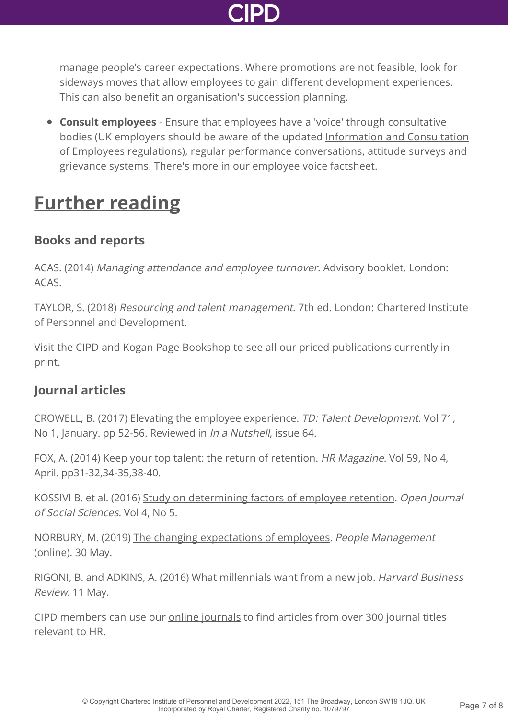

manage people's career expectations. Where promotions are not feasible, look for sideways moves that allow employees to gain different development experiences. This can also benefit an organisation's [succession planning](http://www.cipd.co.uk/knowledge/strategy/resourcing/succession-planning-factsheet/).

**Consult employees** - Ensure that employees have a 'voice' through consultative [bodies \(UK employers should be aware of the updated Information and Consultation](http://www.cipd.co.uk/knowledge/fundamentals/relations/communication/guide/) of Employees regulations), regular performance conversations, attitude surveys and grievance systems. There's more in our [employee voice factsheet](http://www.cipd.co.uk/knowledge/fundamentals/relations/communication/voice-factsheet/).

### **[Further reading](http://www.cipd.co.uk/knowledge/strategy/resourcing/turnover-retention-factsheet?pdf=true#)**

### **Books and reports**

ACAS. (2014) Managing attendance and employee turnover. Advisory booklet. London: ACAS.

TAYLOR, S. (2018) Resourcing and talent management. 7th ed. London: Chartered Institute of Personnel and Development.

Visit the [CIPD and Kogan Page Bookshop](http://www.cipd.co.uk/learn/bookshop) to see all our priced publications currently in print.

#### **Journal articles**

CROWELL, B. (2017) Elevating the employee experience. TD: Talent Development. Vol 71, No 1, January. pp 52-56. Reviewed in *[In a Nutshell](http://www.cipd.co.uk/news-views/nutshell/issue-64/employee-turnover/)*, issue 64.

FOX, A. (2014) Keep your top talent: the return of retention. HR Magazine. Vol 59, No 4, April. pp31-32,34-35,38-40.

KOSSIVI B. et al. (2016) [Study on determining factors of employee retention](https://www.semanticscholar.org/paper/Study-on-Determining-Factors-of-Employee-Retention-Kossivi-Xu/1d6e719e080e19d47301b6303a5fc1a4849ac7ea). Open Journal of Social Sciences. Vol 4, No 5.

NORBURY, M. (2019) [The changing expectations of employees](https://www.peoplemanagement.co.uk/voices/comment/changing-expectations-of-employees). People Management (online). 30 May.

RIGONI, B. and ADKINS, A. (2016) [What millennials want from a new job.](https://hbr.org/2016/05/what-millennials-want-from-a-new-job) Harvard Business Review. 11 May.

CIPD members can use our **[online journals](http://www.cipd.co.uk/knowledge/journals/)** to find articles from over 300 journal titles relevant to HR.